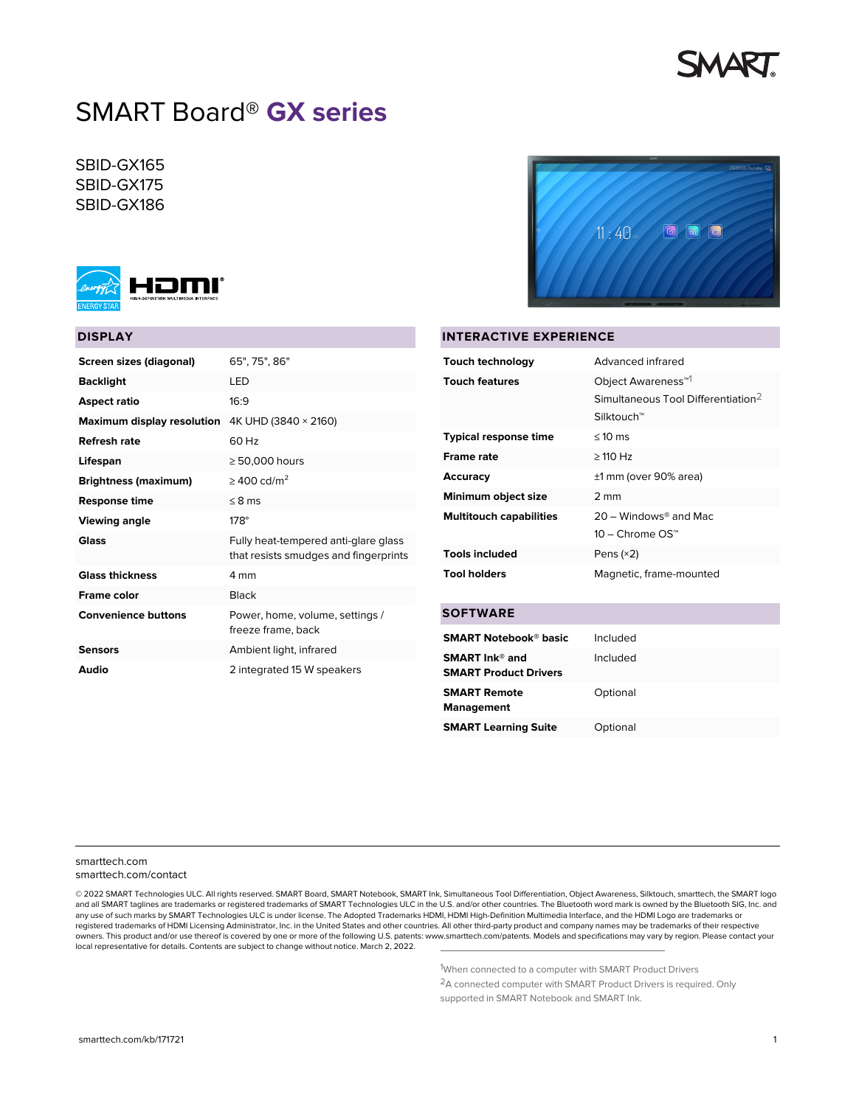

# SMART Board® **GX series**

SBID-GX165 SBID-GX175 SBID-GX186



# **DISPLAY**

| Screen sizes (diagonal)           | 65", 75", 86"                                                                 |
|-----------------------------------|-------------------------------------------------------------------------------|
| <b>Backlight</b>                  | I FD                                                                          |
| Aspect ratio                      | 16.9                                                                          |
| <b>Maximum display resolution</b> | 4K UHD (3840 × 2160)                                                          |
| Refresh rate                      | 60 Hz                                                                         |
| Lifespan                          | $\geq 50,000$ hours                                                           |
| <b>Brightness (maximum)</b>       | $>$ 400 cd/m <sup>2</sup>                                                     |
| <b>Response time</b>              | $< 8$ ms                                                                      |
| <b>Viewing angle</b>              | $178^\circ$                                                                   |
| Glass                             | Fully heat-tempered anti-glare glass<br>that resists smudges and fingerprints |
| <b>Glass thickness</b>            | 4 mm                                                                          |
| <b>Frame color</b>                | <b>Black</b>                                                                  |
| <b>Convenience buttons</b>        | Power, home, volume, settings /<br>freeze frame, back                         |
| <b>Sensors</b>                    | Ambient light, infrared                                                       |
| Audio                             | 2 integrated 15 W speakers                                                    |



#### **INTERACTIVE EXPERIENCE**

| Touch technology               | Advanced infrared                                                                              |
|--------------------------------|------------------------------------------------------------------------------------------------|
| <b>Touch features</b>          | Object Awareness <sup>™1</sup><br>Simultaneous Tool Differentiation <sup>2</sup><br>Silktouch™ |
| <b>Typical response time</b>   | $\leq 10$ ms                                                                                   |
| <b>Frame rate</b>              | $>$ 110 Hz                                                                                     |
| Accuracy                       | ±1 mm (over 90% area)                                                                          |
| Minimum object size            | 2 mm                                                                                           |
| <b>Multitouch capabilities</b> | $20 -$ Windows® and Mac<br>10 – Chrome OS™                                                     |
| <b>Tools included</b>          | Pens $(x2)$                                                                                    |
| <b>Tool holders</b>            | Magnetic, frame-mounted                                                                        |

#### **SOFTWARE**

| <b>SMART Notebook® basic</b>                                      | Included |
|-------------------------------------------------------------------|----------|
| <b>SMART</b> Ink <sup>®</sup> and<br><b>SMART Product Drivers</b> | Included |
| <b>SMART Remote</b><br><b>Management</b>                          | Optional |
| <b>SMART Learning Suite</b>                                       | Optional |

[smarttech.com](https://www.smarttech.com/) [smarttech.com/contact](https://www.smarttech.com/contact)

© 2022 SMART Technologies ULC. All rights reserved. SMART Board, SMART Notebook, SMART Ink, Simultaneous Tool Differentiation, Object Awareness, Silktouch, smarttech, the SMART logo and all SMART taglines are trademarks or registered trademarks of SMART Technologies ULC in the U.S. and/or other countries. The Bluetooth word mark is owned by the Bluetooth SIG, Inc. and any use of such marks by SMART Technologies ULC is under license. The Adopted Trademarks HDMI, HDMI High-Definition Multimedia Interface, and the HDMI Logo are trademarks or<br>registered trademarks of HDMI Licensing Administ owners. This product and/or use thereof is covered by one or more of the following U.S. patents: [www.smarttech.com/patents.](http://www.smarttech.com/patents) Models and specifications may vary by region. Please contact your local representative for details. Contents are subject to change without notice. March 2, 2022.

1When connected to a computer with SMART Product Drivers

2A connected computer with SMART Product Drivers is required. Only supported in SMART Notebook and SMART Ink.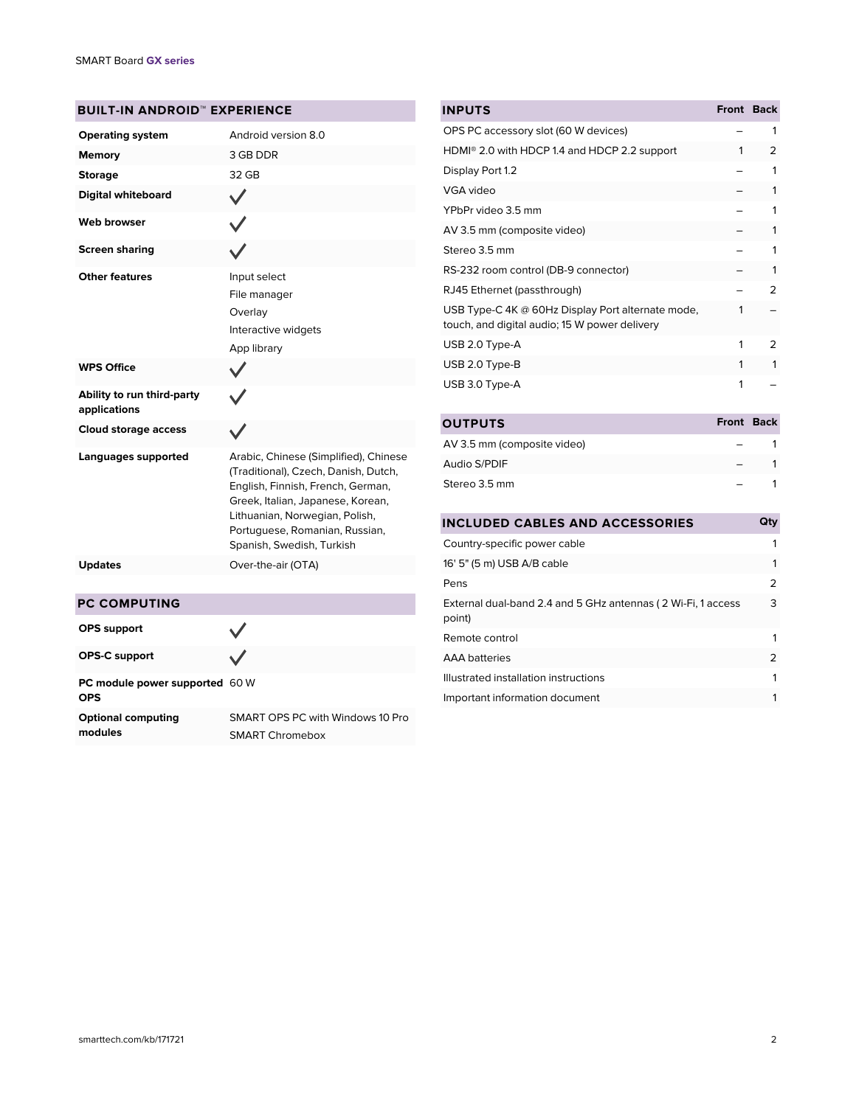# **BUILT-IN ANDROID™ EXPERIENCE**

| <b>Operating system</b>                    | Android version 8.0                                                                                                                                                                                                                                      |
|--------------------------------------------|----------------------------------------------------------------------------------------------------------------------------------------------------------------------------------------------------------------------------------------------------------|
| <b>Memory</b>                              | 3 GB DDR                                                                                                                                                                                                                                                 |
| <b>Storage</b>                             | 32 GB                                                                                                                                                                                                                                                    |
| <b>Digital whiteboard</b>                  |                                                                                                                                                                                                                                                          |
| <b>Web browser</b>                         |                                                                                                                                                                                                                                                          |
| <b>Screen sharing</b>                      |                                                                                                                                                                                                                                                          |
| <b>Other features</b>                      | Input select<br>File manager<br>Overlay<br>Interactive widgets<br>App library                                                                                                                                                                            |
| <b>WPS Office</b>                          |                                                                                                                                                                                                                                                          |
| Ability to run third-party<br>applications |                                                                                                                                                                                                                                                          |
| <b>Cloud storage access</b>                |                                                                                                                                                                                                                                                          |
| Languages supported                        | Arabic, Chinese (Simplified), Chinese<br>(Traditional), Czech, Danish, Dutch,<br>English, Finnish, French, German,<br>Greek, Italian, Japanese, Korean,<br>Lithuanian, Norwegian, Polish,<br>Portuguese, Romanian, Russian,<br>Spanish, Swedish, Turkish |
| <b>Updates</b>                             | Over-the-air (OTA)                                                                                                                                                                                                                                       |
|                                            |                                                                                                                                                                                                                                                          |
| <b>PC COMPUTING</b>                        |                                                                                                                                                                                                                                                          |
| <b>OPS</b> support                         |                                                                                                                                                                                                                                                          |

| <b>INPUTS</b>                                                                                      | Front Back   |               |
|----------------------------------------------------------------------------------------------------|--------------|---------------|
| OPS PC accessory slot (60 W devices)                                                               |              | 1             |
| HDMI <sup>®</sup> 2.0 with HDCP 1.4 and HDCP 2.2 support                                           | 1            | 2             |
| Display Port 1.2                                                                                   |              | 1             |
| VGA video                                                                                          |              | 1             |
| YPbPr video 3.5 mm                                                                                 |              | 1             |
| AV 3.5 mm (composite video)                                                                        |              | 1             |
| Stereo 3.5 mm                                                                                      |              | 1             |
| RS-232 room control (DB-9 connector)                                                               |              | 1             |
| RJ45 Ethernet (passthrough)                                                                        |              | フ             |
| USB Type-C 4K @ 60Hz Display Port alternate mode,<br>touch, and digital audio; 15 W power delivery | 1            |               |
| USB 2.0 Type-A                                                                                     | 1            | $\mathcal{P}$ |
| USB 2.0 Type-B                                                                                     | 1            | 1             |
| USB 3.0 Type-A                                                                                     | 1            |               |
| <b>OUTPUTS</b>                                                                                     | <b>Front</b> | <b>Back</b>   |

| UU I PU I S<br><b>FIVIIL DALK</b> |  |
|-----------------------------------|--|
| AV 3.5 mm (composite video)       |  |
| Audio S/PDIF                      |  |
| Stereo 3.5 mm                     |  |

| <b>INCLUDED CABLES AND ACCESSORIES</b>                                 | Qty |
|------------------------------------------------------------------------|-----|
| Country-specific power cable                                           | 1   |
| 16' 5" (5 m) USB A/B cable                                             | 1   |
| Pens                                                                   | 2   |
| External dual-band 2.4 and 5 GHz antennas (2 Wi-Fi, 1 access<br>point) | 3   |
| Remote control                                                         | 1   |
| <b>AAA</b> batteries                                                   | 2   |
| Illustrated installation instructions                                  | 1   |
| Important information document                                         | 1   |
|                                                                        |     |

| <b>PC COMPUTING</b>                          |                                                     |
|----------------------------------------------|-----------------------------------------------------|
| <b>OPS</b> support                           |                                                     |
| <b>OPS-C support</b>                         |                                                     |
| PC module power supported 60 W<br><b>OPS</b> |                                                     |
| <b>Optional computing</b><br>modules         | SMART OPS PC with Windows 10 Pro<br>SMART Chromebox |

[smarttech.com/kb/171721](https://www.smarttech.com/kb/171721) 2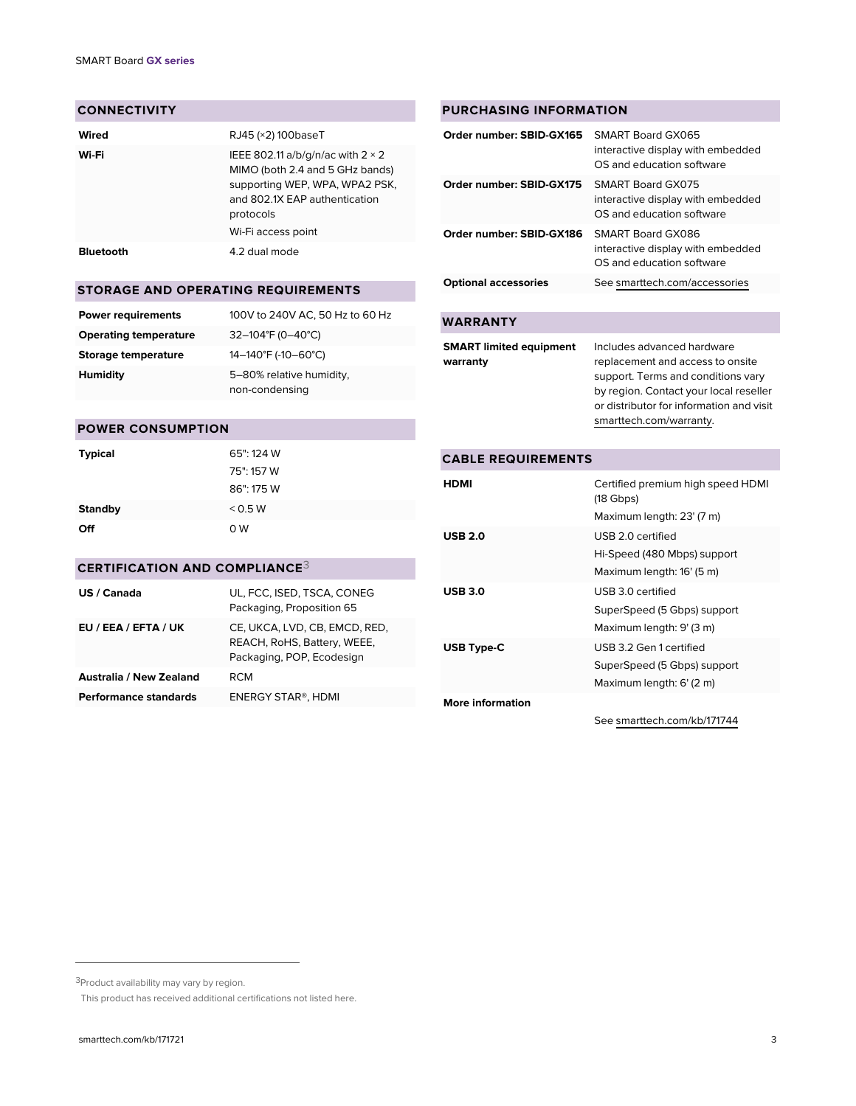#### **CONNECTIVITY**

| Wired            | RJ45 (×2) 100baseT                                                                                                                                          |
|------------------|-------------------------------------------------------------------------------------------------------------------------------------------------------------|
| Wi-Fi            | IEEE 802.11 a/b/g/n/ac with $2 \times 2$<br>MIMO (both 2.4 and 5 GHz bands)<br>supporting WEP, WPA, WPA2 PSK,<br>and 802.1X EAP authentication<br>protocols |
|                  | Wi-Fi access point                                                                                                                                          |
| <b>Bluetooth</b> | 4.2 dual mode                                                                                                                                               |

# **STORAGE AND OPERATING REQUIREMENTS**

| <b>Power requirements</b>    | 100V to 240V AC, 50 Hz to 60 Hz            |
|------------------------------|--------------------------------------------|
| <b>Operating temperature</b> | $32-104$ °F (0-40°C)                       |
| Storage temperature          | 14-140°F (-10-60°C)                        |
| Humidity                     | 5-80% relative humidity,<br>non-condensing |

## **POWER CONSUMPTION**

| <b>Typical</b> | 65": 124 W |
|----------------|------------|
|                | 75": 157 W |
|                | 86": 175 W |
| <b>Standby</b> | < 0.5 W    |
| Off            | 0W         |

# **CERTIFICATION AND COMPLIANCE**3

| US / Canada             | UL, FCC, ISED, TSCA, CONEG<br>Packaging, Proposition 65                                   |
|-------------------------|-------------------------------------------------------------------------------------------|
| EU / EEA / EFTA / UK    | CE, UKCA, LVD, CB, EMCD, RED,<br>REACH, RoHS, Battery, WEEE,<br>Packaging, POP, Ecodesign |
| Australia / New Zealand | RCM                                                                                       |
| Performance standards   | ENERGY STAR®, HDMI                                                                        |

### **PURCHASING INFORMATION**

| Order number: SBID-GX165    | SMART Board GX065<br>interactive display with embedded<br>OS and education software |
|-----------------------------|-------------------------------------------------------------------------------------|
| Order number: SBID-GX175    | SMART Board GX075<br>interactive display with embedded<br>OS and education software |
| Order number: SBID-GX186    | SMART Board GX086<br>interactive display with embedded<br>OS and education software |
| <b>Optional accessories</b> | See smarttech.com/accessories                                                       |
|                             |                                                                                     |

# **WARRANTY**

| <b>SMART limited equipment</b> | Includes advanced hardware               |
|--------------------------------|------------------------------------------|
| warranty                       | replacement and access to onsite         |
|                                | support. Terms and conditions vary       |
|                                | by region. Contact your local reseller   |
|                                | or distributor for information and visit |
|                                | smarttech.com/warranty.                  |

# **CABLE REQUIREMENTS HDMI** Certified premium high speed HDMI (18 Gbps) Maximum length: 23' (7 m) **USB 2.0** USB 2.0 certified Hi-Speed (480 Mbps) support Maximum length: 16' (5 m) **USB 3.0** USB 3.0 certified SuperSpeed (5 Gbps) support Maximum length: 9' (3 m) **USB Type-C** USB 3.2 Gen 1 certified SuperSpeed (5 Gbps) support Maximum length: 6' (2 m) **More information** See [smarttech.com/kb/171744](https://www.smarttech.com/kb/171744)

<sup>3</sup>Product availability may vary by region.

This product has received additional certifications not listed here.